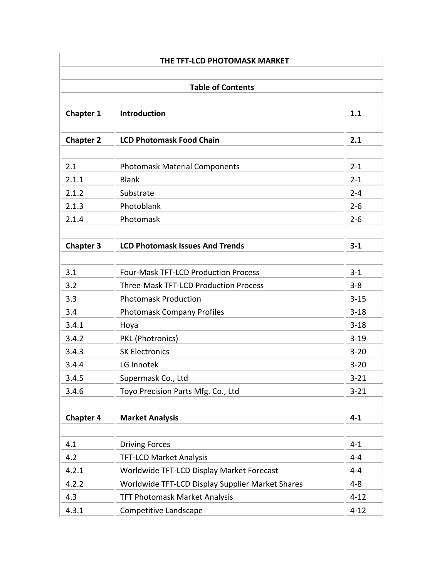|                  | THE TFT-LCD PHOTOMASK MARKET                     |          |  |  |  |
|------------------|--------------------------------------------------|----------|--|--|--|
|                  |                                                  |          |  |  |  |
|                  | <b>Table of Contents</b>                         |          |  |  |  |
| <b>Chapter 1</b> | <b>Introduction</b>                              | 1.1      |  |  |  |
|                  |                                                  |          |  |  |  |
| <b>Chapter 2</b> | <b>LCD Photomask Food Chain</b>                  | 2.1      |  |  |  |
| 2.1              | <b>Photomask Material Components</b>             | $2 - 1$  |  |  |  |
| 2.1.1            | <b>Blank</b>                                     | $2 - 1$  |  |  |  |
| 2.1.2            | Substrate                                        | $2 - 4$  |  |  |  |
| 2.1.3            | Photoblank                                       | $2 - 6$  |  |  |  |
| 2.1.4            | Photomask                                        | $2 - 6$  |  |  |  |
| <b>Chapter 3</b> | <b>LCD Photomask Issues And Trends</b>           | $3 - 1$  |  |  |  |
|                  |                                                  |          |  |  |  |
| 3.1              | <b>Four-Mask TFT-LCD Production Process</b>      | $3 - 1$  |  |  |  |
| 3.2              | <b>Three-Mask TFT-LCD Production Process</b>     | $3 - 8$  |  |  |  |
| 3.3              | <b>Photomask Production</b>                      | $3 - 15$ |  |  |  |
| 3.4              | <b>Photomask Company Profiles</b>                | $3 - 18$ |  |  |  |
| 3.4.1            | Hoya                                             | $3 - 18$ |  |  |  |
| 3.4.2            | PKL (Photronics)                                 | $3 - 19$ |  |  |  |
| 3.4.3            | <b>SK Electronics</b>                            | $3 - 20$ |  |  |  |
| 3.4.4            | LG Innotek                                       | $3 - 20$ |  |  |  |
| 3.4.5            | Supermask Co., Ltd                               | $3 - 21$ |  |  |  |
| 3.4.6            | Toyo Precision Parts Mfg. Co., Ltd               | $3 - 21$ |  |  |  |
| <b>Chapter 4</b> | <b>Market Analysis</b>                           | $4 - 1$  |  |  |  |
|                  |                                                  |          |  |  |  |
| 4.1              | <b>Driving Forces</b>                            | $4 - 1$  |  |  |  |
| 4.2              | <b>TFT-LCD Market Analysis</b>                   | $4 - 4$  |  |  |  |
| 4.2.1            | Worldwide TFT-LCD Display Market Forecast        | 4-4      |  |  |  |
| 4.2.2            | Worldwide TFT-LCD Display Supplier Market Shares | $4 - 8$  |  |  |  |
| 4.3              | TFT Photomask Market Analysis                    | $4 - 12$ |  |  |  |
| 4.3.1            | Competitive Landscape                            | $4 - 12$ |  |  |  |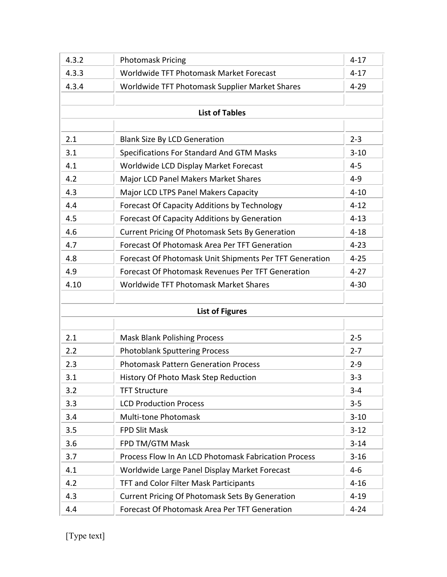| 4.3.2 | <b>Photomask Pricing</b>                                | $4 - 17$ |  |  |  |
|-------|---------------------------------------------------------|----------|--|--|--|
| 4.3.3 | Worldwide TFT Photomask Market Forecast                 | $4 - 17$ |  |  |  |
| 4.3.4 | Worldwide TFT Photomask Supplier Market Shares          | $4 - 29$ |  |  |  |
|       |                                                         |          |  |  |  |
|       | <b>List of Tables</b>                                   |          |  |  |  |
|       |                                                         |          |  |  |  |
| 2.1   | <b>Blank Size By LCD Generation</b>                     | $2 - 3$  |  |  |  |
| 3.1   | Specifications For Standard And GTM Masks               | $3 - 10$ |  |  |  |
| 4.1   | Worldwide LCD Display Market Forecast                   | $4 - 5$  |  |  |  |
| 4.2   | Major LCD Panel Makers Market Shares                    | $4 - 9$  |  |  |  |
| 4.3   | Major LCD LTPS Panel Makers Capacity                    | $4 - 10$ |  |  |  |
| 4.4   | <b>Forecast Of Capacity Additions by Technology</b>     | $4 - 12$ |  |  |  |
| 4.5   | <b>Forecast Of Capacity Additions by Generation</b>     | $4 - 13$ |  |  |  |
| 4.6   | <b>Current Pricing Of Photomask Sets By Generation</b>  | $4 - 18$ |  |  |  |
| 4.7   | Forecast Of Photomask Area Per TFT Generation           | $4 - 23$ |  |  |  |
| 4.8   | Forecast Of Photomask Unit Shipments Per TFT Generation | $4 - 25$ |  |  |  |
| 4.9   | Forecast Of Photomask Revenues Per TFT Generation       | $4 - 27$ |  |  |  |
| 4.10  | Worldwide TFT Photomask Market Shares                   | $4 - 30$ |  |  |  |
|       |                                                         |          |  |  |  |
|       | <b>List of Figures</b>                                  |          |  |  |  |
|       |                                                         |          |  |  |  |
| 2.1   | <b>Mask Blank Polishing Process</b>                     | $2 - 5$  |  |  |  |
| 2.2   | <b>Photoblank Sputtering Process</b>                    | $2 - 7$  |  |  |  |
| 2.3   | <b>Photomask Pattern Generation Process</b>             | $2 - 9$  |  |  |  |
| 3.1   | History Of Photo Mask Step Reduction                    | $3 - 3$  |  |  |  |
| 3.2   | <b>TFT Structure</b>                                    | $3 - 4$  |  |  |  |
| 3.3   | <b>LCD Production Process</b>                           | $3 - 5$  |  |  |  |
| 3.4   | Multi-tone Photomask                                    | $3 - 10$ |  |  |  |
| 3.5   | FPD Slit Mask                                           | $3 - 12$ |  |  |  |
| 3.6   | FPD TM/GTM Mask                                         | $3 - 14$ |  |  |  |
| 3.7   | Process Flow In An LCD Photomask Fabrication Process    | $3 - 16$ |  |  |  |
| 4.1   | Worldwide Large Panel Display Market Forecast           | $4 - 6$  |  |  |  |
| 4.2   | TFT and Color Filter Mask Participants                  | $4 - 16$ |  |  |  |
| 4.3   | <b>Current Pricing Of Photomask Sets By Generation</b>  | $4 - 19$ |  |  |  |
| 4.4   | Forecast Of Photomask Area Per TFT Generation           | $4 - 24$ |  |  |  |

[Type text]